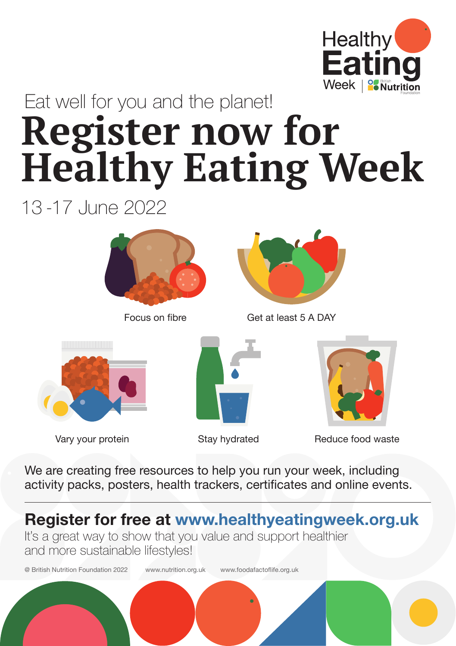

#### **Register now for Healthy Eating Week** Eat well for you and the planet!

13 -17 June 2022





Focus on fibre Get at least 5 A DAY





Stay hydrated



Vary your protein **Example 2** Stay hydrated **Reduce food waste** 

We are creating free resources to help you run your week, including activity packs, posters, health trackers, certificates and online events.

**Register for free at www.healthyeatingweek.org.uk**

It's a great way to show that you value and support healthier and more sustainable lifestyles!

@ British Nutrition Foundation 2022 www.nutrition.org.uk www.foodafactoflife.org.uk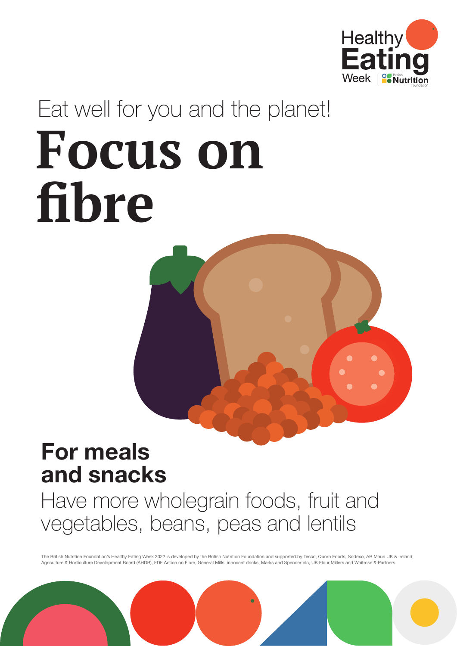#### **For meals and snacks**

#### Have more wholegrain foods, fruit and vegetables, beans, peas and lentils

The British Nutrition Foundation's Healthy Eating Week 2022 is developed by the British Nutrition Foundation and supported by Tesco, Quorn Foods, Sodexo, AB Mauri UK & Ireland, Agriculture & Horticulture Development Board (AHDB), FDF Action on Fibre, General Mills, innocent drinks, Marks and Spencer plc, UK Flour Millers and Waitrose & Partners.





## **Focus on fibre** Eat well for you and the planet!

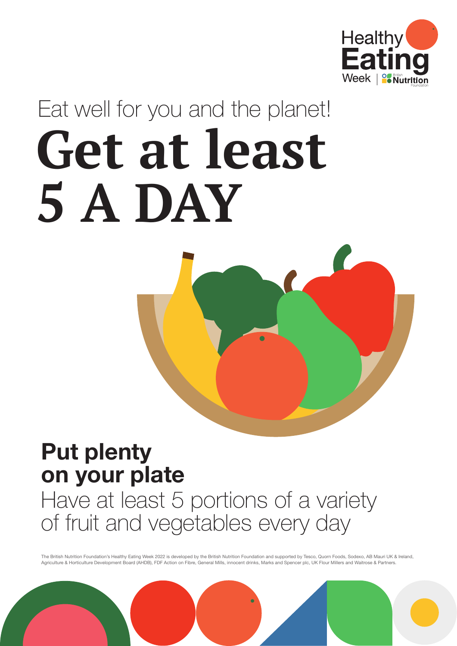### **Put plenty on your plate** Have at least 5 portions of a variety of fruit and vegetables every day



## **Get at least 5 A DAY** Eat well for you and the planet!



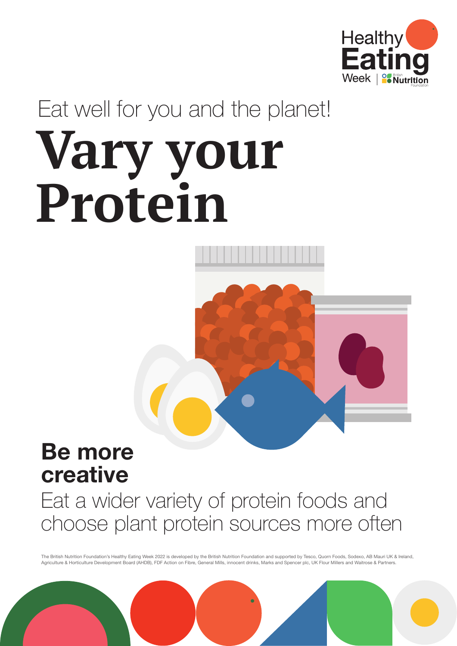#### **Be more creative**

#### Eat a wider variety of protein foods and choose plant protein sources more often



## **Vary your Protein** Eat well for you and the planet!





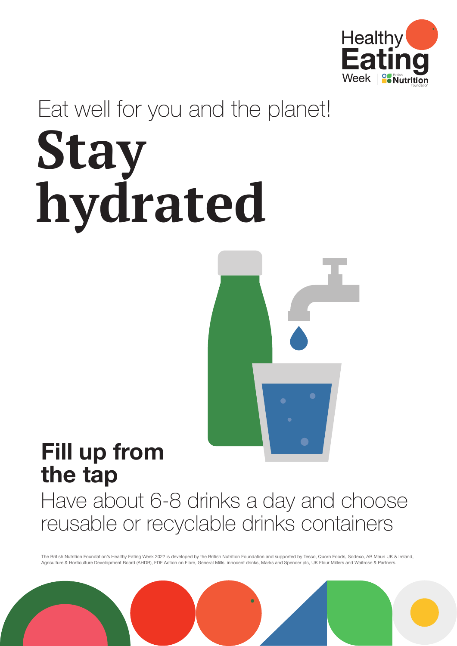#### **Fill up from the tap** Have about 6-8 drinks a day and choose reusable or recyclable drinks containers



# **Stay hydrated** Eat well for you and the planet!